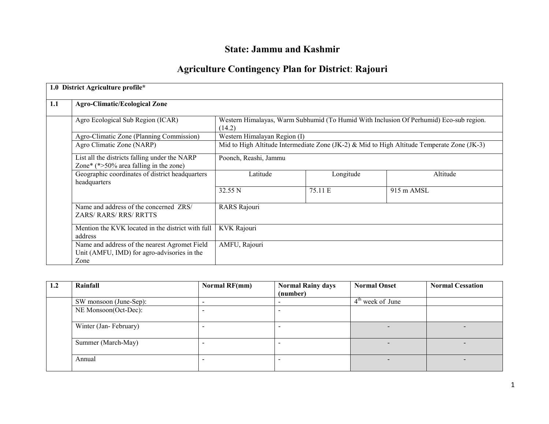# State: Jammu and Kashmir

## Agriculture Contingency Plan for District: Rajouri

|     | 1.0 District Agriculture profile*                                                                                                     |                                                                                            |           |                      |  |  |  |
|-----|---------------------------------------------------------------------------------------------------------------------------------------|--------------------------------------------------------------------------------------------|-----------|----------------------|--|--|--|
|     |                                                                                                                                       |                                                                                            |           |                      |  |  |  |
| 1.1 | <b>Agro-Climatic/Ecological Zone</b>                                                                                                  |                                                                                            |           |                      |  |  |  |
|     | Western Himalayas, Warm Subhumid (To Humid With Inclusion Of Perhumid) Eco-sub region.<br>Agro Ecological Sub Region (ICAR)<br>(14.2) |                                                                                            |           |                      |  |  |  |
|     | Agro-Climatic Zone (Planning Commission)                                                                                              | Western Himalayan Region (I)                                                               |           |                      |  |  |  |
|     | Agro Climatic Zone (NARP)                                                                                                             | Mid to High Altitude Intermediate Zone (JK-2) & Mid to High Altitude Temperate Zone (JK-3) |           |                      |  |  |  |
|     | List all the districts falling under the NARP<br>Zone* $(*>50\%$ area falling in the zone)                                            | Poonch, Reashi, Jammu                                                                      |           |                      |  |  |  |
|     | Geographic coordinates of district headquarters<br>headquarters                                                                       | Latitude                                                                                   | Longitude | Altitude             |  |  |  |
|     |                                                                                                                                       | 32.55 N                                                                                    | 75.11 E   | $915 \text{ m AMSL}$ |  |  |  |
|     | Name and address of the concerned ZRS/<br><b>ZARS/RARS/RRS/RRTTS</b>                                                                  | RARS Rajouri                                                                               |           |                      |  |  |  |
|     | Mention the KVK located in the district with full<br>address                                                                          | KVK Rajouri                                                                                |           |                      |  |  |  |
|     | Name and address of the nearest Agromet Field<br>Unit (AMFU, IMD) for agro-advisories in the<br>Zone                                  | AMFU, Rajouri                                                                              |           |                      |  |  |  |

| 1.2 | Rainfall               | Normal RF(mm) | <b>Normal Rainy days</b> | <b>Normal Onset</b> | <b>Normal Cessation</b> |
|-----|------------------------|---------------|--------------------------|---------------------|-------------------------|
|     |                        |               | (number)                 |                     |                         |
|     | SW monsoon (June-Sep): | -             |                          | $4th$ week of June  |                         |
|     | NE Monsoon(Oct-Dec):   |               |                          |                     |                         |
|     | Winter (Jan-February)  |               |                          |                     |                         |
|     | Summer (March-May)     |               |                          |                     |                         |
|     | Annual                 |               |                          |                     |                         |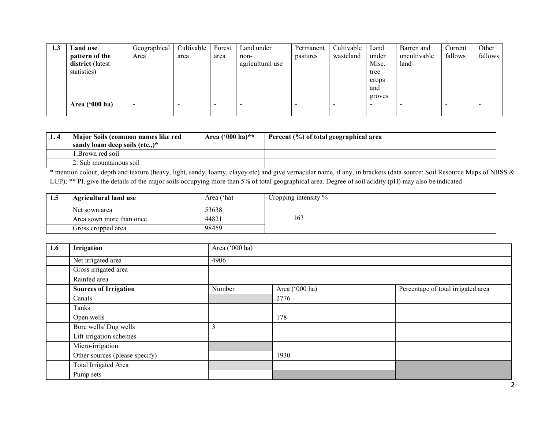| 1.3 | Land use                | Geographical             | Cultivable | Forest | Land under       | Permanent | Cultivable | Land   | Barren and   | Current | Other   |
|-----|-------------------------|--------------------------|------------|--------|------------------|-----------|------------|--------|--------------|---------|---------|
|     | pattern of the          | Area                     | area       | area   | non-             | pastures  | wasteland  | under  | uncultivable | fallows | fallows |
|     | district (latest        |                          |            |        | agricultural use |           |            | Misc.  | land         |         |         |
|     | statistics)             |                          |            |        |                  |           |            | tree   |              |         |         |
|     |                         |                          |            |        |                  |           |            | crops  |              |         |         |
|     |                         |                          |            |        |                  |           |            | and    |              |         |         |
|     |                         |                          |            |        |                  |           |            | groves |              |         |         |
|     | Area $(900 \text{ ha})$ | $\overline{\phantom{0}}$ |            |        |                  |           |            |        |              |         |         |
|     |                         |                          |            |        |                  |           |            |        |              |         |         |

| Major Soils (common names like red<br>sandy loam deep soils (etc)* | Area $(900 \text{ ha})$ ** | Percent (%) of total geographical area |
|--------------------------------------------------------------------|----------------------------|----------------------------------------|
| l Brown red soil                                                   |                            |                                        |
| $\angle$ . Sub mountainous soil                                    |                            |                                        |

 \* mention colour, depth and texture (heavy, light, sandy, loamy, clayey etc) and give vernacular name, if any, in brackets (data source: Soil Resource Maps of NBSS & LUP); \*\* Pl. give the details of the major soils occupying more than 5% of total geographical area. Degree of soil acidity (pH) may also be indicated

| 1.5 | <b>Agricultural land use</b> | Area ('ha) | Cropping intensity $\%$ |
|-----|------------------------------|------------|-------------------------|
|     | Net sown area                | 53638      |                         |
|     | Area sown more than once     | 44821      | 163                     |
|     | Gross cropped area           | 98459      |                         |

| 1.6 | Irrigation                     | Area ('000 ha) |                                                      |  |  |  |  |  |  |
|-----|--------------------------------|----------------|------------------------------------------------------|--|--|--|--|--|--|
|     | Net irrigated area             | 4906           |                                                      |  |  |  |  |  |  |
|     | Gross irrigated area           |                |                                                      |  |  |  |  |  |  |
|     | Rainfed area                   |                |                                                      |  |  |  |  |  |  |
|     | <b>Sources of Irrigation</b>   | Number         | Area ('000 ha)<br>Percentage of total irrigated area |  |  |  |  |  |  |
|     | Canals                         |                | 2776                                                 |  |  |  |  |  |  |
|     | Tanks                          |                |                                                      |  |  |  |  |  |  |
|     | Open wells                     |                | 178                                                  |  |  |  |  |  |  |
|     | Bore wells/ Dug wells          | 3              |                                                      |  |  |  |  |  |  |
|     | Lift irrigation schemes        |                |                                                      |  |  |  |  |  |  |
|     | Micro-irrigation               |                |                                                      |  |  |  |  |  |  |
|     | Other sources (please specify) |                | 1930                                                 |  |  |  |  |  |  |
|     | Total Irrigated Area           |                |                                                      |  |  |  |  |  |  |
|     | Pump sets                      |                |                                                      |  |  |  |  |  |  |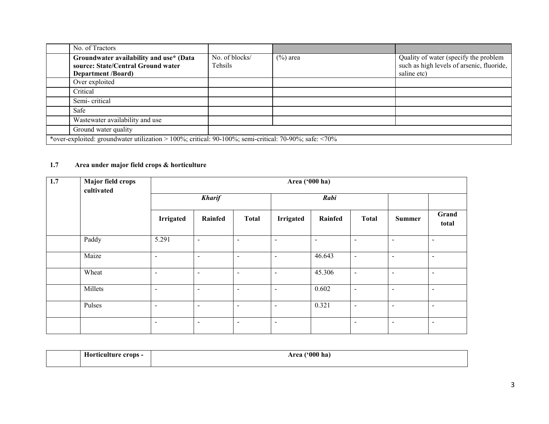| No. of Tractors                                                                                             |                           |             |                                                                                                   |
|-------------------------------------------------------------------------------------------------------------|---------------------------|-------------|---------------------------------------------------------------------------------------------------|
| Groundwater availability and use* (Data<br>source: State/Central Ground water<br><b>Department</b> /Board)  | No. of blocks/<br>Tehsils | $(\%)$ area | Quality of water (specify the problem<br>such as high levels of arsenic, fluoride,<br>saline etc) |
| Over exploited                                                                                              |                           |             |                                                                                                   |
| Critical                                                                                                    |                           |             |                                                                                                   |
| Semi-critical                                                                                               |                           |             |                                                                                                   |
| Safe                                                                                                        |                           |             |                                                                                                   |
| Wastewater availability and use                                                                             |                           |             |                                                                                                   |
| Ground water quality                                                                                        |                           |             |                                                                                                   |
| *over-exploited: groundwater utilization > 100%; critical: 90-100%; semi-critical: 70-90%; safe: $\leq$ 70% |                           |             |                                                                                                   |

### 1.7 Area under major field crops & horticulture

| 1.7 | Major field crops<br>cultivated | Area ('000 ha)   |                |                          |                          |         |                          |                          |                          |  |
|-----|---------------------------------|------------------|----------------|--------------------------|--------------------------|---------|--------------------------|--------------------------|--------------------------|--|
|     |                                 |                  | <b>Kharif</b>  |                          |                          | Rabi    |                          |                          |                          |  |
|     |                                 | <b>Irrigated</b> | Rainfed        | <b>Total</b>             | <b>Irrigated</b>         | Rainfed | <b>Total</b>             | <b>Summer</b>            | Grand<br>total           |  |
|     | Paddy                           | 5.291            | $\blacksquare$ | $\overline{\phantom{a}}$ | $\overline{\phantom{a}}$ | $\sim$  | $\overline{\phantom{a}}$ | $\overline{\phantom{a}}$ | $\overline{\phantom{a}}$ |  |
|     | Maize                           | $\blacksquare$   | $\sim$         | $\sim$                   | $\sim$                   | 46.643  | $\blacksquare$           | $\sim$                   | $\blacksquare$           |  |
|     | Wheat                           | $\blacksquare$   | $\sim$         | $\blacksquare$           | $\sim$                   | 45.306  | $\blacksquare$           | $\sim$                   | $\sim$                   |  |
|     | Millets                         | $\blacksquare$   | $\sim$         | $\blacksquare$           | $\sim$                   | 0.602   | $\blacksquare$           | $\sim$                   | $\sim$                   |  |
|     | Pulses                          | $\blacksquare$   | $\sim$         | $\blacksquare$           | $\sim$                   | 0.321   | $\blacksquare$           | $\sim$                   | $\sim$                   |  |
|     |                                 | $\blacksquare$   | $\sim$         | $\blacksquare$           | $\overline{\phantom{a}}$ |         | $\blacksquare$           | $\sim$                   | $\sim$                   |  |

| $\alpha$<br>- 77<br>A MC<br>- ലഹ⊷<br>ha)<br>eron,<br>`WW<br>,,,, |  |
|------------------------------------------------------------------|--|
|------------------------------------------------------------------|--|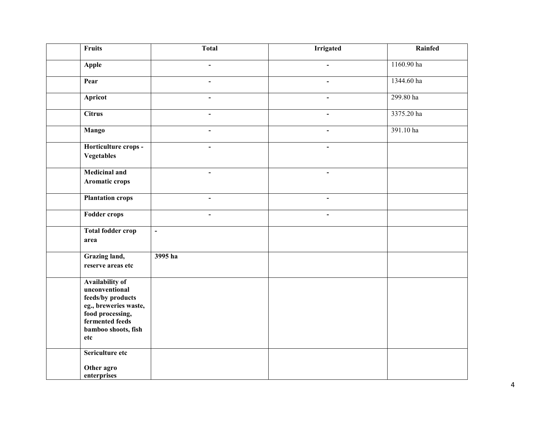| Fruits                                                                                                                                               | <b>Total</b>             | <b>Irrigated</b> | Rainfed    |
|------------------------------------------------------------------------------------------------------------------------------------------------------|--------------------------|------------------|------------|
| Apple                                                                                                                                                |                          |                  | 1160.90 ha |
| Pear                                                                                                                                                 | $\overline{\phantom{0}}$ | $\sim$           | 1344.60 ha |
| <b>Apricot</b>                                                                                                                                       | $\blacksquare$           | $\blacksquare$   | 299.80 ha  |
| <b>Citrus</b>                                                                                                                                        | $\blacksquare$           |                  | 3375.20 ha |
| <b>Mango</b>                                                                                                                                         | $\blacksquare$           | $\blacksquare$   | 391.10 ha  |
| Horticulture crops -<br><b>Vegetables</b>                                                                                                            | $\blacksquare$           |                  |            |
| <b>Medicinal and</b><br>Aromatic crops                                                                                                               |                          |                  |            |
| <b>Plantation crops</b>                                                                                                                              | $\blacksquare$           | $\blacksquare$   |            |
| <b>Fodder crops</b>                                                                                                                                  | $\blacksquare$           | $\blacksquare$   |            |
| <b>Total fodder crop</b><br>area                                                                                                                     | $\overline{\phantom{a}}$ |                  |            |
| Grazing land,<br>reserve areas etc                                                                                                                   | 3995 ha                  |                  |            |
| Availability of<br>unconventional<br>feeds/by products<br>eg., breweries waste,<br>food processing,<br>fermented feeds<br>bamboo shoots, fish<br>etc |                          |                  |            |
| Sericulture etc<br>Other agro<br>enterprises                                                                                                         |                          |                  |            |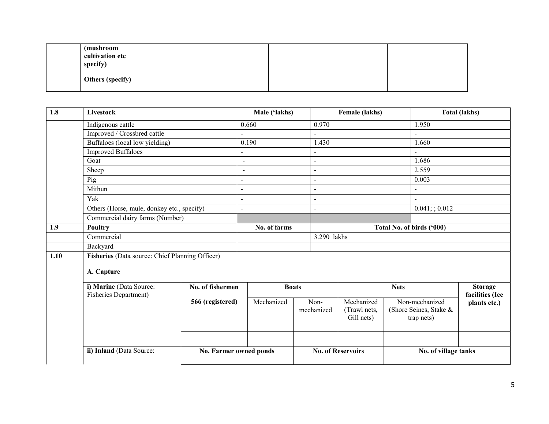| (mushroom<br>cultivation etc<br>specify) |  |  |
|------------------------------------------|--|--|
| Others (specify)                         |  |  |

| 1.8  | Livestock                                        |                        | Male ('lakhs)  |              |                           | Female (lakhs)                           |             |                                                        | <b>Total (lakhs)</b>              |
|------|--------------------------------------------------|------------------------|----------------|--------------|---------------------------|------------------------------------------|-------------|--------------------------------------------------------|-----------------------------------|
|      | Indigenous cattle                                |                        | 0.660          |              | 0.970                     |                                          |             | 1.950                                                  |                                   |
|      | Improved / Crossbred cattle                      |                        |                |              |                           |                                          |             |                                                        |                                   |
|      | Buffaloes (local low yielding)                   |                        | 0.190          |              | 1.430                     |                                          |             | 1.660                                                  |                                   |
|      | <b>Improved Buffaloes</b><br>$\mathbf{r}$        |                        |                |              |                           |                                          |             |                                                        |                                   |
|      | Goat                                             |                        | $\blacksquare$ |              | $\blacksquare$            |                                          |             | 1.686                                                  |                                   |
|      | Sheep                                            |                        | $\blacksquare$ |              | $\overline{\phantom{a}}$  |                                          |             | 2.559                                                  |                                   |
|      | Pig                                              |                        | $\mathbf{r}$   |              | $\blacksquare$            |                                          |             | 0.003                                                  |                                   |
|      | Mithun                                           |                        | $\overline{a}$ |              | $\mathbf{r}$              |                                          |             | $\overline{a}$                                         |                                   |
|      | Yak                                              |                        | $\mathbf{r}$   |              | $\overline{a}$            |                                          |             | $\mathbf{r}$                                           |                                   |
|      | Others (Horse, mule, donkey etc., specify)       |                        | $\mathbf{r}$   |              | $\overline{a}$            |                                          |             | $0.041$ ; ; 0.012                                      |                                   |
|      | Commercial dairy farms (Number)                  |                        |                |              |                           |                                          |             |                                                        |                                   |
| 1.9  | Poultry                                          |                        | No. of farms   |              | Total No. of birds ('000) |                                          |             |                                                        |                                   |
|      | Commercial                                       |                        | 3.290 lakhs    |              |                           |                                          |             |                                                        |                                   |
|      | Backyard                                         |                        |                |              |                           |                                          |             |                                                        |                                   |
| 1.10 | Fisheries (Data source: Chief Planning Officer)  |                        |                |              |                           |                                          |             |                                                        |                                   |
|      | A. Capture                                       |                        |                |              |                           |                                          |             |                                                        |                                   |
|      | i) Marine (Data Source:<br>Fisheries Department) | No. of fishermen       |                | <b>Boats</b> |                           |                                          | <b>Nets</b> |                                                        | <b>Storage</b><br>facilities (Ice |
|      |                                                  | 566 (registered)       | Mechanized     |              | Non-<br>mechanized        | Mechanized<br>(Trawl nets,<br>Gill nets) |             | Non-mechanized<br>(Shore Seines, Stake &<br>trap nets) | plants etc.)                      |
|      |                                                  |                        |                |              |                           |                                          |             |                                                        |                                   |
|      | ii) Inland (Data Source:                         | No. Farmer owned ponds |                |              | <b>No. of Reservoirs</b>  |                                          |             | No. of village tanks                                   |                                   |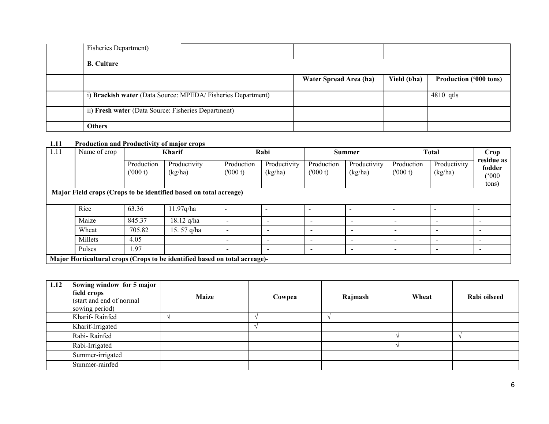| <b>Fisheries Department</b> )                               |                        |              |                               |
|-------------------------------------------------------------|------------------------|--------------|-------------------------------|
| <b>B.</b> Culture                                           |                        |              |                               |
|                                                             | Water Spread Area (ha) | Yield (t/ha) | <b>Production ('000 tons)</b> |
| i) Brackish water (Data Source: MPEDA/Fisheries Department) |                        |              | $4810$ qtls                   |
| ii) Fresh water (Data Source: Fisheries Department)         |                        |              |                               |
| <b>Others</b>                                               |                        |              |                               |

#### 1.11 Production and Productivity of major crops

| 1.11 | Name of crop | <b>Kharif</b>         |                                                                            | Rabi                     |                          | <b>Summer</b>            |                          | <b>Total</b>             |                          | Crop                                   |
|------|--------------|-----------------------|----------------------------------------------------------------------------|--------------------------|--------------------------|--------------------------|--------------------------|--------------------------|--------------------------|----------------------------------------|
|      |              | Production<br>(000 t) | Productivity<br>(kg/ha)                                                    | Production<br>(000 t)    | Productivity<br>(kg/ha)  | Production<br>(000 t)    | Productivity<br>(kg/ha)  | Production<br>(000 t)    | Productivity<br>(kg/ha)  | residue as<br>fodder<br>(000)<br>tons) |
|      |              |                       | Major Field crops (Crops to be identified based on total acreage)          |                          |                          |                          |                          |                          |                          |                                        |
|      |              |                       |                                                                            |                          |                          |                          |                          |                          |                          |                                        |
|      | Rice         | 63.36                 | 11.97q/ha                                                                  |                          |                          |                          | $\overline{a}$           |                          |                          |                                        |
|      | Maize        | 845.37                | $18.12$ q/ha                                                               | $\overline{\phantom{a}}$ | $\overline{\phantom{a}}$ | $\overline{\phantom{a}}$ | $\,$                     | $\overline{\phantom{0}}$ | $\overline{\phantom{a}}$ | $\,$                                   |
|      | Wheat        | 705.82                | 15.57 q/ha                                                                 | -                        | $\overline{\phantom{0}}$ | $\overline{\phantom{a}}$ |                          |                          | $\overline{\phantom{a}}$ | $\overline{\phantom{0}}$               |
|      | Millets      | 4.05                  |                                                                            | $\overline{\phantom{0}}$ | $\overline{\phantom{a}}$ | $\overline{\phantom{a}}$ | $\overline{\phantom{0}}$ | -                        | $\overline{\phantom{0}}$ | $\overline{\phantom{0}}$               |
|      | Pulses       | l.97                  |                                                                            | $\overline{\phantom{0}}$ | $\overline{\phantom{0}}$ | $\overline{\phantom{a}}$ | ۰                        |                          | $\overline{\phantom{a}}$ | $\,$                                   |
|      |              |                       | Major Horticultural crops (Crops to be identified based on total acreage)- |                          |                          |                          |                          |                          |                          |                                        |

| 1.12 | Sowing window for 5 major<br>field crops<br>(start and end of normal)<br>sowing period) | <b>Maize</b> | Cowpea | Rajmash | Wheat | Rabi oilseed |
|------|-----------------------------------------------------------------------------------------|--------------|--------|---------|-------|--------------|
|      | Kharif-Rainfed                                                                          |              |        |         |       |              |
|      | Kharif-Irrigated                                                                        |              |        |         |       |              |
|      | Rabi-Rainfed                                                                            |              |        |         |       |              |
|      | Rabi-Irrigated                                                                          |              |        |         |       |              |
|      | Summer-irrigated                                                                        |              |        |         |       |              |
|      | Summer-rainfed                                                                          |              |        |         |       |              |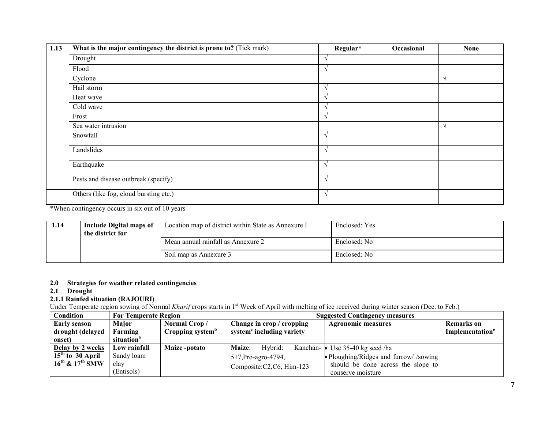| 1.13 | What is the major contingency the district is prone to? (Tick mark) | Regular*      | Occasional | <b>None</b> |
|------|---------------------------------------------------------------------|---------------|------------|-------------|
|      | Drought                                                             |               |            |             |
|      | Flood                                                               |               |            |             |
|      | Cyclone                                                             |               |            |             |
|      | Hail storm                                                          | $\mathcal{N}$ |            |             |
|      | Heat wave                                                           |               |            |             |
|      | Cold wave                                                           |               |            |             |
|      | Frost                                                               | $\mathcal{N}$ |            |             |
|      | Sea water intrusion                                                 |               |            |             |
|      | Snowfall                                                            | $\sqrt{ }$    |            |             |
|      | Landslides                                                          | $\mathbf{v}$  |            |             |
|      | Earthquake                                                          | $\mathcal{N}$ |            |             |
|      | Pests and disease outbreak (specify)                                | $\sqrt{ }$    |            |             |
|      | Others (like fog, cloud bursting etc.)                              | V             |            |             |

\*When contingency occurs in six out of 10 years

| 1.14 | Include Digital maps of<br>the district for | Location map of district within State as Annexure I | Enclosed: Yes |
|------|---------------------------------------------|-----------------------------------------------------|---------------|
|      |                                             | Mean annual rainfall as Annexure 2                  | Enclosed: No  |
|      |                                             | Soil map as Annexure 3                              | Enclosed: No  |

#### 2.0 Strategies for weather related contingencies

| <b>Drought</b><br>2.1     |                                                                      |                              |                                       |                                                                                                                                                               |                             |  |  |  |
|---------------------------|----------------------------------------------------------------------|------------------------------|---------------------------------------|---------------------------------------------------------------------------------------------------------------------------------------------------------------|-----------------------------|--|--|--|
|                           | 2.1.1 Rainfed situation (RAJOURI)                                    |                              |                                       |                                                                                                                                                               |                             |  |  |  |
|                           |                                                                      |                              |                                       | Under Temperate region sowing of Normal Kharif crops starts in 1 <sup>st</sup> Week of April with melting of ice received during winter season (Dec. to Feb.) |                             |  |  |  |
| Condition                 | <b>For Temperate Region</b><br><b>Suggested Contingency measures</b> |                              |                                       |                                                                                                                                                               |                             |  |  |  |
| <b>Early season</b>       | Major                                                                | Normal Crop/                 | Change in crop / cropping             | <b>Agronomic measures</b>                                                                                                                                     | <b>Remarks</b> on           |  |  |  |
| drought (delayed          | Farming                                                              | Cropping system <sup>b</sup> | system <sup>c</sup> including variety |                                                                                                                                                               | Implementation <sup>e</sup> |  |  |  |
| onset)                    | situation <sup>a</sup>                                               |                              |                                       |                                                                                                                                                               |                             |  |  |  |
| Delay by 2 weeks          | Low rainfall                                                         | Maize-potato                 | <b>Maize:</b><br>Hybrid:<br>Kanchan-  | Use $35-40$ kg seed /ha                                                                                                                                       |                             |  |  |  |
| $15th$ to 30 April        | Sandy loam                                                           |                              | 517, Pro-agro-4794,                   | • Ploughing/Ridges and furrow//sowing                                                                                                                         |                             |  |  |  |
| $16^{th}$ & $17^{th}$ SMW | clay                                                                 |                              | Composite:C2,C6, Him-123              | should be done across the slope to                                                                                                                            |                             |  |  |  |
|                           | (Entisols)                                                           |                              |                                       | conserve moisture                                                                                                                                             |                             |  |  |  |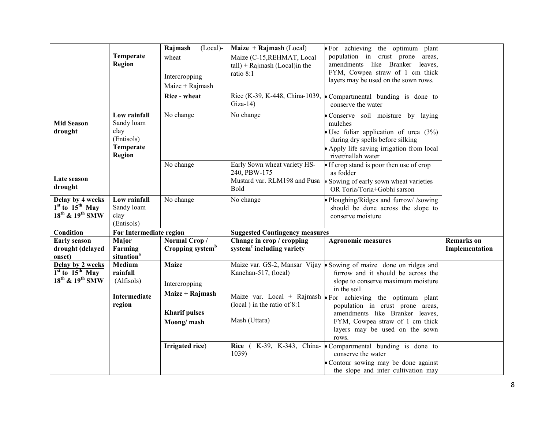|                                                                                    |                                                                                | Rajmash<br>$(Local)$ -                                                                 | Maize $+$ Rajmash (Local)                                                                               | For achieving the optimum plant                                                                                                                                                                                                                                                                                                                                        |                                     |
|------------------------------------------------------------------------------------|--------------------------------------------------------------------------------|----------------------------------------------------------------------------------------|---------------------------------------------------------------------------------------------------------|------------------------------------------------------------------------------------------------------------------------------------------------------------------------------------------------------------------------------------------------------------------------------------------------------------------------------------------------------------------------|-------------------------------------|
|                                                                                    | Temperate<br><b>Region</b>                                                     | wheat<br>Intercropping<br>Maize + Rajmash<br>Rice - wheat                              | Maize (C-15, REHMAT, Local<br>$tall$ ) + Rajmash (Local)in the<br>ratio 8:1                             | population in crust prone<br>areas,<br>amendments like Branker leaves,<br>FYM, Cowpea straw of 1 cm thick<br>layers may be used on the sown rows.                                                                                                                                                                                                                      |                                     |
|                                                                                    |                                                                                |                                                                                        | Rice (K-39, K-448, China-1039,<br>$Giza-14$                                                             | Compartmental bunding is done to<br>conserve the water                                                                                                                                                                                                                                                                                                                 |                                     |
| <b>Mid Season</b><br>drought                                                       | Low rainfall<br>Sandy loam<br>clay<br>(Entisols)<br>Temperate<br><b>Region</b> | No change                                                                              | No change                                                                                               | Conserve soil moisture by laying<br>mulches<br>Use foliar application of urea $(3%)$<br>during dry spells before silking<br>Apply life saving irrigation from local<br>river/nallah water                                                                                                                                                                              |                                     |
| Late season<br>drought                                                             |                                                                                | No change                                                                              | Early Sown wheat variety HS-<br>240, PBW-175<br>Mustard var. RLM198 and Pusa<br>Bold                    | If crop stand is poor then use of crop<br>as fodder<br>Sowing of early sown wheat varieties<br>OR Toria/Toria+Gobhi sarson                                                                                                                                                                                                                                             |                                     |
| Delay by 4 weeks<br>$1st$ to $15th$ May<br>18 <sup>th</sup> & 19 <sup>th</sup> SMW | Low rainfall<br>Sandy loam<br>clay<br>(Entisols)                               | No change                                                                              | No change                                                                                               | Ploughing/Ridges and furrow//sowing<br>should be done across the slope to<br>conserve moisture                                                                                                                                                                                                                                                                         |                                     |
| Condition                                                                          | For Intermediate region                                                        |                                                                                        | <b>Suggested Contingency measures</b>                                                                   |                                                                                                                                                                                                                                                                                                                                                                        |                                     |
| <b>Early season</b><br>drought (delayed<br>onset)                                  | Major<br>Farming<br>situation <sup>a</sup>                                     | Normal Crop/<br>Cropping system <sup>b</sup>                                           | Change in crop / cropping<br>system <sup>c</sup> including variety                                      | <b>Agronomic measures</b>                                                                                                                                                                                                                                                                                                                                              | <b>Remarks</b> on<br>Implementation |
| Delay by 2 weeks<br>$1st$ to $15th$ May<br>$18^{th}$ & $19^{th}$ SMW               | Medium<br>rainfall<br>(Alfisols)<br><b>Intermediate</b><br>region              | <b>Maize</b><br>Intercropping<br>Maize + Rajmash<br><b>Kharif pulses</b><br>Moong/mash | Maize var. GS-2, Mansar Vijay<br>Kanchan-517, (local)<br>(local) in the ratio of $8:1$<br>Mash (Uttara) | Sowing of maize done on ridges and<br>furrow and it should be across the<br>slope to conserve maximum moisture<br>in the soil<br>Maize var. Local + Rajmash $\blacktriangleright$ For achieving the optimum plant<br>population in crust prone areas,<br>amendments like Branker leaves,<br>FYM, Cowpea straw of 1 cm thick<br>layers may be used on the sown<br>rows. |                                     |
|                                                                                    |                                                                                | Irrigated rice)                                                                        | Rice (<br>1039                                                                                          | K-39, K-343, China- Compartmental bunding is done to<br>conserve the water<br>Contour sowing may be done against<br>the slope and inter cultivation may                                                                                                                                                                                                                |                                     |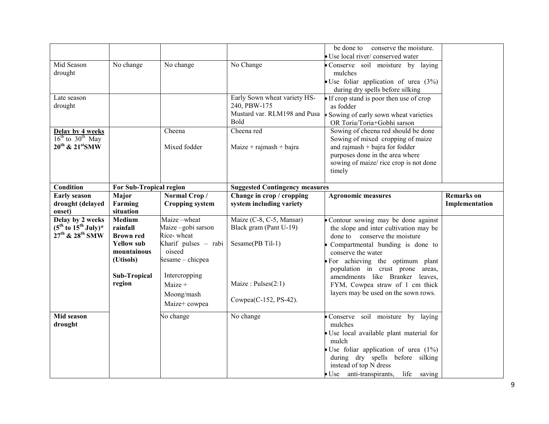|                                         |                                  |                                   |                                                                    | conserve the moisture.<br>be done to                       |                   |
|-----------------------------------------|----------------------------------|-----------------------------------|--------------------------------------------------------------------|------------------------------------------------------------|-------------------|
|                                         |                                  |                                   |                                                                    | · Use local river/ conserved water                         |                   |
| Mid Season                              | No change                        | No change                         | No Change                                                          | Conserve soil moisture by laying                           |                   |
| drought                                 |                                  |                                   |                                                                    | mulches                                                    |                   |
|                                         |                                  |                                   |                                                                    | $\bullet$ Use foliar application of urea (3%)              |                   |
|                                         |                                  |                                   |                                                                    | during dry spells before silking                           |                   |
| Late season                             |                                  |                                   | Early Sown wheat variety HS-                                       | If crop stand is poor then use of crop                     |                   |
| drought                                 |                                  |                                   | 240, PBW-175                                                       | as fodder                                                  |                   |
|                                         |                                  |                                   | Mustard var. RLM198 and Pusa                                       | Sowing of early sown wheat varieties                       |                   |
|                                         |                                  |                                   | <b>Bold</b>                                                        | OR Toria/Toria+Gobhi sarson                                |                   |
| Delay by 4 weeks                        |                                  | Cheena                            | Cheena red                                                         | Sowing of cheena red should be done                        |                   |
| $16^{th}$ to $30^{th}$ May              |                                  |                                   |                                                                    | Sowing of mixed cropping of maize                          |                   |
| $20^{th}$ & $21^{st}$ SMW               |                                  | Mixed fodder                      | $Maize + rajmask + bajra$                                          | and rajmash $+$ bajra for fodder                           |                   |
|                                         |                                  |                                   |                                                                    | purposes done in the area where                            |                   |
|                                         |                                  |                                   |                                                                    | sowing of maize/ rice crop is not done                     |                   |
|                                         |                                  |                                   |                                                                    | timely                                                     |                   |
| Condition                               |                                  |                                   |                                                                    |                                                            |                   |
|                                         | For Sub-Tropical region<br>Major | Normal Crop/                      | <b>Suggested Contingency measures</b><br>Change in crop / cropping |                                                            | <b>Remarks</b> on |
| <b>Early season</b><br>drought (delayed | Farming                          | <b>Cropping system</b>            | system including variety                                           | <b>Agronomic measures</b>                                  | Implementation    |
| onset)                                  | situation                        |                                   |                                                                    |                                                            |                   |
| Delay by 2 weeks                        | Medium                           | $\overline{\text{M}}$ aize -wheat | Maize (C-8, C-5, Mansar)                                           | • Contour sowing may be done against                       |                   |
| $(5^{th}$ to $15^{th}$ July)*           | rainfall                         | Maize-gobi sarson                 | Black gram (Pant U-19)                                             | the slope and inter cultivation may be                     |                   |
| 27 <sup>th</sup> & 28 <sup>th</sup> SMW | <b>Brown red</b>                 | Rice-wheat                        |                                                                    | done to conserve the moisture                              |                   |
|                                         | <b>Yellow sub</b>                | Kharif pulses - rabi              | Sesame(PB Til-1)                                                   | Compartmental bunding is done to                           |                   |
|                                         | mountainous                      | oiseed                            |                                                                    | conserve the water                                         |                   |
|                                         | (Utisols)                        | Sesame – chicpea                  |                                                                    | For achieving the optimum plant                            |                   |
|                                         |                                  |                                   |                                                                    | population in crust prone areas,                           |                   |
|                                         | <b>Sub-Tropical</b>              | Intercropping                     |                                                                    | amendments like Branker leaves,                            |                   |
|                                         | region                           | Maize +                           | Maize: Pulses(2:1)                                                 | FYM, Cowpea straw of 1 cm thick                            |                   |
|                                         |                                  | Moong/mash                        |                                                                    | layers may be used on the sown rows.                       |                   |
|                                         |                                  | Maize+ cowpea                     | Cowpea(C-152, PS-42).                                              |                                                            |                   |
| Mid season                              |                                  | No change                         | No change                                                          | Conserve soil moisture by laying                           |                   |
| drought                                 |                                  |                                   |                                                                    | mulches                                                    |                   |
|                                         |                                  |                                   |                                                                    | · Use local available plant material for                   |                   |
|                                         |                                  |                                   |                                                                    | mulch                                                      |                   |
|                                         |                                  |                                   |                                                                    | Use foliar application of urea $(1\%)$                     |                   |
|                                         |                                  |                                   |                                                                    |                                                            |                   |
|                                         |                                  |                                   |                                                                    |                                                            |                   |
|                                         |                                  |                                   |                                                                    | during dry spells before silking<br>instead of top N dress |                   |